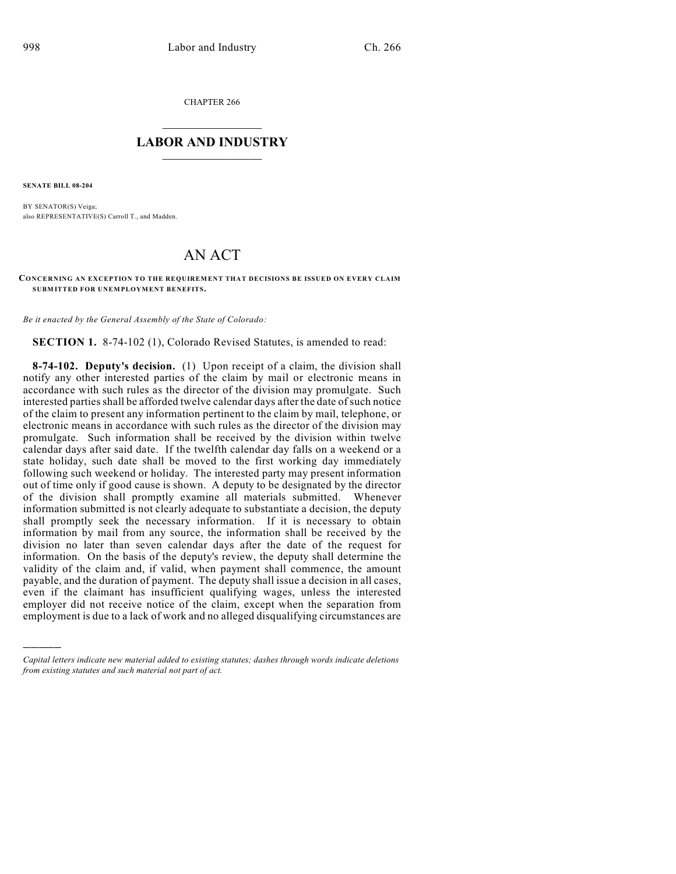CHAPTER 266

## $\mathcal{L}_\text{max}$  . The set of the set of the set of the set of the set of the set of the set of the set of the set of the set of the set of the set of the set of the set of the set of the set of the set of the set of the set **LABOR AND INDUSTRY**  $\frac{1}{\sqrt{2}}$  ,  $\frac{1}{\sqrt{2}}$  ,  $\frac{1}{\sqrt{2}}$  ,  $\frac{1}{\sqrt{2}}$  ,  $\frac{1}{\sqrt{2}}$  ,  $\frac{1}{\sqrt{2}}$

**SENATE BILL 08-204**

)))))

BY SENATOR(S) Veiga; also REPRESENTATIVE(S) Carroll T., and Madden.

## AN ACT

## CONCERNING AN EXCEPTION TO THE REQUIREMENT THAT DECISIONS BE ISSUED ON EVERY CLAIM **SUBM ITTED FOR UNEMPLOYMENT BENEFITS.**

*Be it enacted by the General Assembly of the State of Colorado:*

**SECTION 1.** 8-74-102 (1), Colorado Revised Statutes, is amended to read:

**8-74-102. Deputy's decision.** (1) Upon receipt of a claim, the division shall notify any other interested parties of the claim by mail or electronic means in accordance with such rules as the director of the division may promulgate. Such interested parties shall be afforded twelve calendar days after the date of such notice of the claim to present any information pertinent to the claim by mail, telephone, or electronic means in accordance with such rules as the director of the division may promulgate. Such information shall be received by the division within twelve calendar days after said date. If the twelfth calendar day falls on a weekend or a state holiday, such date shall be moved to the first working day immediately following such weekend or holiday. The interested party may present information out of time only if good cause is shown. A deputy to be designated by the director of the division shall promptly examine all materials submitted. Whenever information submitted is not clearly adequate to substantiate a decision, the deputy shall promptly seek the necessary information. If it is necessary to obtain information by mail from any source, the information shall be received by the division no later than seven calendar days after the date of the request for information. On the basis of the deputy's review, the deputy shall determine the validity of the claim and, if valid, when payment shall commence, the amount payable, and the duration of payment. The deputy shall issue a decision in all cases, even if the claimant has insufficient qualifying wages, unless the interested employer did not receive notice of the claim, except when the separation from employment is due to a lack of work and no alleged disqualifying circumstances are

*Capital letters indicate new material added to existing statutes; dashes through words indicate deletions from existing statutes and such material not part of act.*